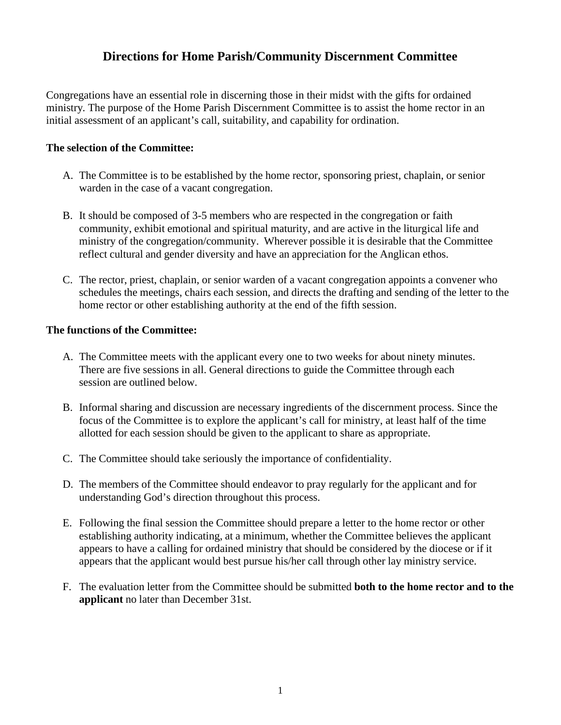## **Directions for Home Parish/Community Discernment Committee**

Congregations have an essential role in discerning those in their midst with the gifts for ordained ministry. The purpose of the Home Parish Discernment Committee is to assist the home rector in an initial assessment of an applicant's call, suitability, and capability for ordination.

### **The selection of the Committee:**

- A. The Committee is to be established by the home rector, sponsoring priest, chaplain, or senior warden in the case of a vacant congregation.
- B. It should be composed of 3-5 members who are respected in the congregation or faith community, exhibit emotional and spiritual maturity, and are active in the liturgical life and ministry of the congregation/community. Wherever possible it is desirable that the Committee reflect cultural and gender diversity and have an appreciation for the Anglican ethos.
- C. The rector, priest, chaplain, or senior warden of a vacant congregation appoints a convener who schedules the meetings, chairs each session, and directs the drafting and sending of the letter to the home rector or other establishing authority at the end of the fifth session.

#### **The functions of the Committee:**

- A. The Committee meets with the applicant every one to two weeks for about ninety minutes. There are five sessions in all. General directions to guide the Committee through each session are outlined below.
- B. Informal sharing and discussion are necessary ingredients of the discernment process. Since the focus of the Committee is to explore the applicant's call for ministry, at least half of the time allotted for each session should be given to the applicant to share as appropriate.
- C. The Committee should take seriously the importance of confidentiality.
- D. The members of the Committee should endeavor to pray regularly for the applicant and for understanding God's direction throughout this process.
- E. Following the final session the Committee should prepare a letter to the home rector or other establishing authority indicating, at a minimum, whether the Committee believes the applicant appears to have a calling for ordained ministry that should be considered by the diocese or if it appears that the applicant would best pursue his/her call through other lay ministry service.
- F. The evaluation letter from the Committee should be submitted **both to the home rector and to the applicant** no later than December 31st.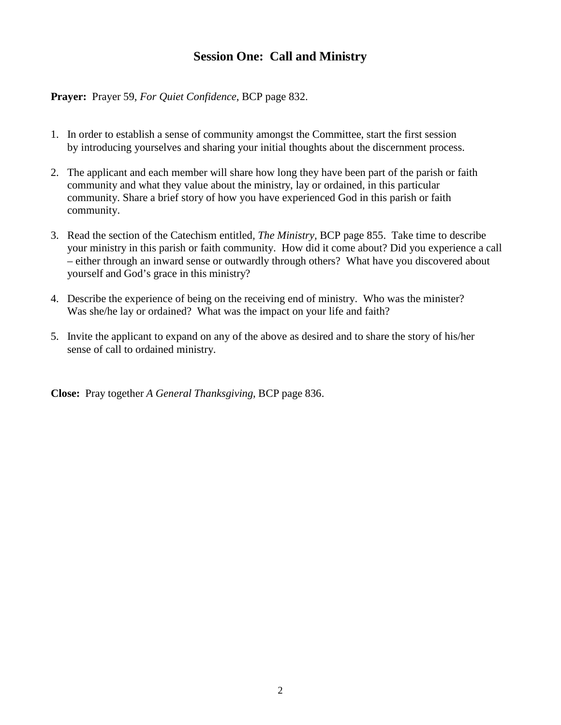# **Session One: Call and Ministry**

**Prayer:** Prayer 59, *For Quiet Confidence*, BCP page 832.

- 1. In order to establish a sense of community amongst the Committee, start the first session by introducing yourselves and sharing your initial thoughts about the discernment process.
- 2. The applicant and each member will share how long they have been part of the parish or faith community and what they value about the ministry, lay or ordained, in this particular community. Share a brief story of how you have experienced God in this parish or faith community.
- 3. Read the section of the Catechism entitled*, The Ministry,* BCP page 855. Take time to describe your ministry in this parish or faith community. How did it come about? Did you experience a call – either through an inward sense or outwardly through others? What have you discovered about yourself and God's grace in this ministry?
- 4. Describe the experience of being on the receiving end of ministry. Who was the minister? Was she/he lay or ordained? What was the impact on your life and faith?
- 5. Invite the applicant to expand on any of the above as desired and to share the story of his/her sense of call to ordained ministry.

**Close:** Pray together *A General Thanksgiving*, BCP page 836.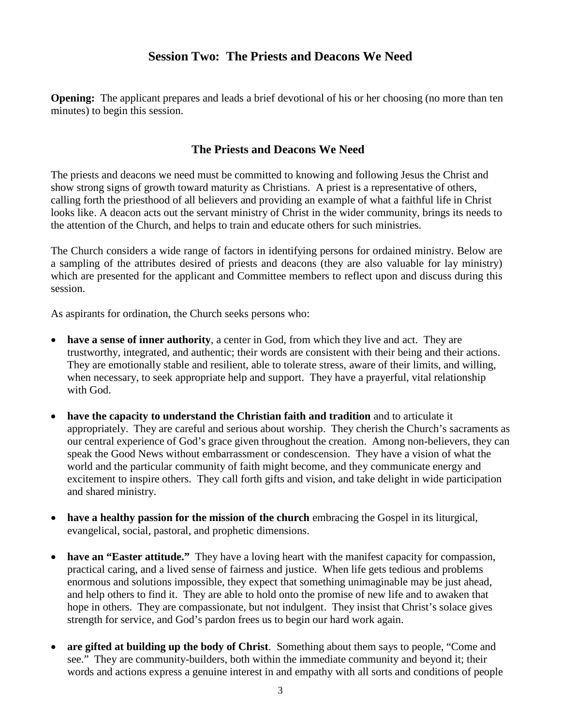## **Session Two: The Priests and Deacons We Need**

**Opening:** The applicant prepares and leads a brief devotional of his or her choosing (no more than ten minutes) to begin this session.

### **The Priests and Deacons We Need**

The priests and deacons we need must be committed to knowing and following Jesus the Christ and show strong signs of growth toward maturity as Christians. A priest is a representative of others, calling forth the priesthood of all believers and providing an example of what a faithful life in Christ looks like. A deacon acts out the servant ministry of Christ in the wider community, brings its needs to the attention of the Church, and helps to train and educate others for such ministries.

The Church considers a wide range of factors in identifying persons for ordained ministry. Below are a sampling of the attributes desired of priests and deacons (they are also valuable for lay ministry) which are presented for the applicant and Committee members to reflect upon and discuss during this session.

As aspirants for ordination, the Church seeks persons who:

- **have a sense of inner authority**, a center in God, from which they live and act. They are trustworthy, integrated, and authentic; their words are consistent with their being and their actions. They are emotionally stable and resilient, able to tolerate stress, aware of their limits, and willing, when necessary, to seek appropriate help and support. They have a prayerful, vital relationship with God.
- **have the capacity to understand the Christian faith and tradition** and to articulate it appropriately. They are careful and serious about worship. They cherish the Church's sacraments as our central experience of God's grace given throughout the creation. Among non-believers, they can speak the Good News without embarrassment or condescension. They have a vision of what the world and the particular community of faith might become, and they communicate energy and excitement to inspire others. They call forth gifts and vision, and take delight in wide participation and shared ministry.
- **have a healthy passion for the mission of the church** embracing the Gospel in its liturgical, evangelical, social, pastoral, and prophetic dimensions.
- **have an "Easter attitude."** They have a loving heart with the manifest capacity for compassion, practical caring, and a lived sense of fairness and justice. When life gets tedious and problems enormous and solutions impossible, they expect that something unimaginable may be just ahead, and help others to find it. They are able to hold onto the promise of new life and to awaken that hope in others. They are compassionate, but not indulgent. They insist that Christ's solace gives strength for service, and God's pardon frees us to begin our hard work again.
- **are gifted at building up the body of Christ**. Something about them says to people, "Come and see." They are community-builders, both within the immediate community and beyond it; their words and actions express a genuine interest in and empathy with all sorts and conditions of people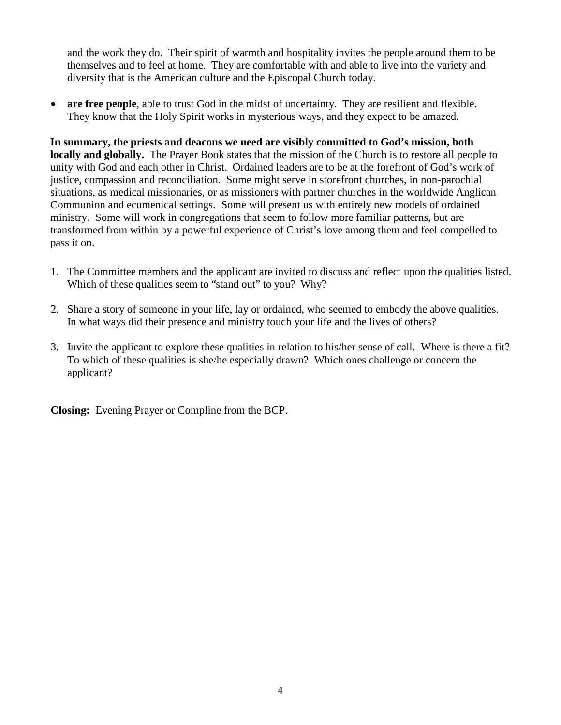and the work they do. Their spirit of warmth and hospitality invites the people around them to be themselves and to feel at home. They are comfortable with and able to live into the variety and diversity that is the American culture and the Episcopal Church today.

• **are free people**, able to trust God in the midst of uncertainty. They are resilient and flexible. They know that the Holy Spirit works in mysterious ways, and they expect to be amazed.

**In summary, the priests and deacons we need are visibly committed to God's mission, both locally and globally.** The Prayer Book states that the mission of the Church is to restore all people to unity with God and each other in Christ. Ordained leaders are to be at the forefront of God's work of justice, compassion and reconciliation. Some might serve in storefront churches, in non-parochial situations, as medical missionaries, or as missioners with partner churches in the worldwide Anglican Communion and ecumenical settings. Some will present us with entirely new models of ordained ministry. Some will work in congregations that seem to follow more familiar patterns, but are transformed from within by a powerful experience of Christ's love among them and feel compelled to pass it on.

- 1. The Committee members and the applicant are invited to discuss and reflect upon the qualities listed. Which of these qualities seem to "stand out" to you? Why?
- 2. Share a story of someone in your life, lay or ordained, who seemed to embody the above qualities. In what ways did their presence and ministry touch your life and the lives of others?
- 3. Invite the applicant to explore these qualities in relation to his/her sense of call. Where is there a fit? To which of these qualities is she/he especially drawn? Which ones challenge or concern the applicant?

**Closing:** Evening Prayer or Compline from the BCP.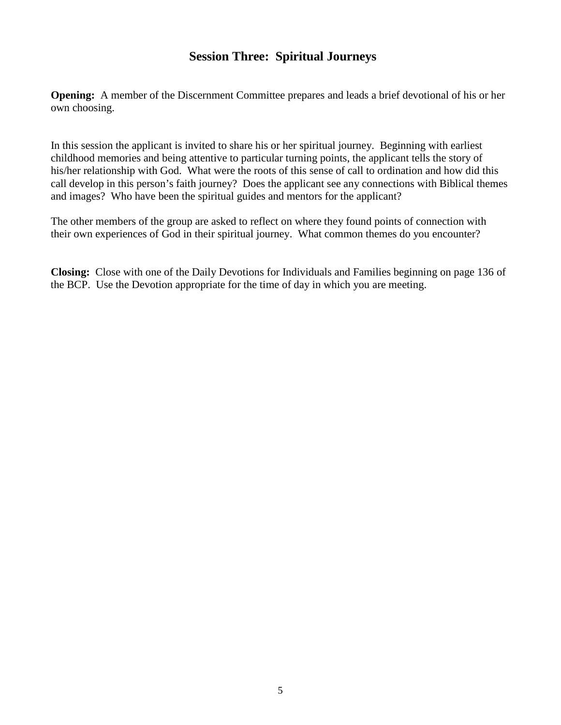## **Session Three: Spiritual Journeys**

**Opening:** A member of the Discernment Committee prepares and leads a brief devotional of his or her own choosing.

In this session the applicant is invited to share his or her spiritual journey. Beginning with earliest childhood memories and being attentive to particular turning points, the applicant tells the story of his/her relationship with God. What were the roots of this sense of call to ordination and how did this call develop in this person's faith journey? Does the applicant see any connections with Biblical themes and images? Who have been the spiritual guides and mentors for the applicant?

The other members of the group are asked to reflect on where they found points of connection with their own experiences of God in their spiritual journey. What common themes do you encounter?

**Closing:** Close with one of the Daily Devotions for Individuals and Families beginning on page 136 of the BCP. Use the Devotion appropriate for the time of day in which you are meeting.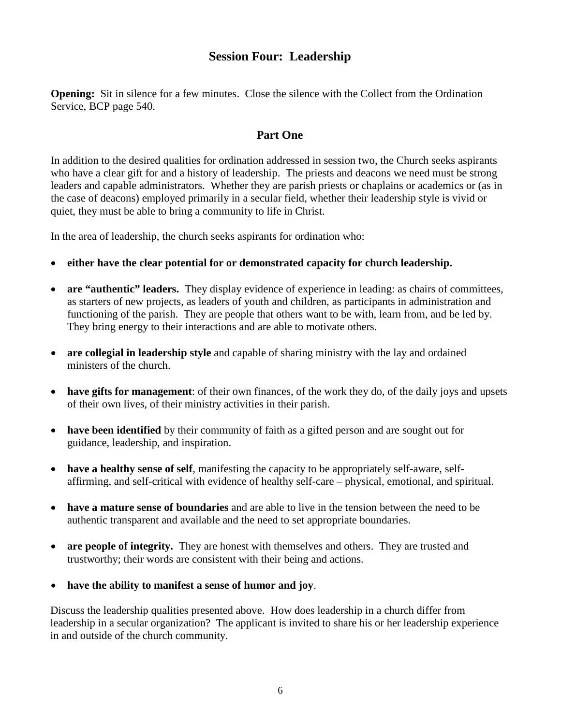## **Session Four: Leadership**

**Opening:** Sit in silence for a few minutes. Close the silence with the Collect from the Ordination Service, BCP page 540.

## **Part One**

In addition to the desired qualities for ordination addressed in session two, the Church seeks aspirants who have a clear gift for and a history of leadership. The priests and deacons we need must be strong leaders and capable administrators. Whether they are parish priests or chaplains or academics or (as in the case of deacons) employed primarily in a secular field, whether their leadership style is vivid or quiet, they must be able to bring a community to life in Christ.

In the area of leadership, the church seeks aspirants for ordination who:

- **either have the clear potential for or demonstrated capacity for church leadership.**
- **are "authentic" leaders.** They display evidence of experience in leading: as chairs of committees, as starters of new projects, as leaders of youth and children, as participants in administration and functioning of the parish. They are people that others want to be with, learn from, and be led by. They bring energy to their interactions and are able to motivate others.
- **are collegial in leadership style** and capable of sharing ministry with the lay and ordained ministers of the church.
- **have gifts for management**: of their own finances, of the work they do, of the daily joys and upsets of their own lives, of their ministry activities in their parish.
- **have been identified** by their community of faith as a gifted person and are sought out for guidance, leadership, and inspiration.
- **have a healthy sense of self**, manifesting the capacity to be appropriately self-aware, selfaffirming, and self-critical with evidence of healthy self-care – physical, emotional, and spiritual.
- **have a mature sense of boundaries** and are able to live in the tension between the need to be authentic transparent and available and the need to set appropriate boundaries.
- **are people of integrity.** They are honest with themselves and others. They are trusted and trustworthy; their words are consistent with their being and actions.
- **have the ability to manifest a sense of humor and joy**.

Discuss the leadership qualities presented above. How does leadership in a church differ from leadership in a secular organization? The applicant is invited to share his or her leadership experience in and outside of the church community.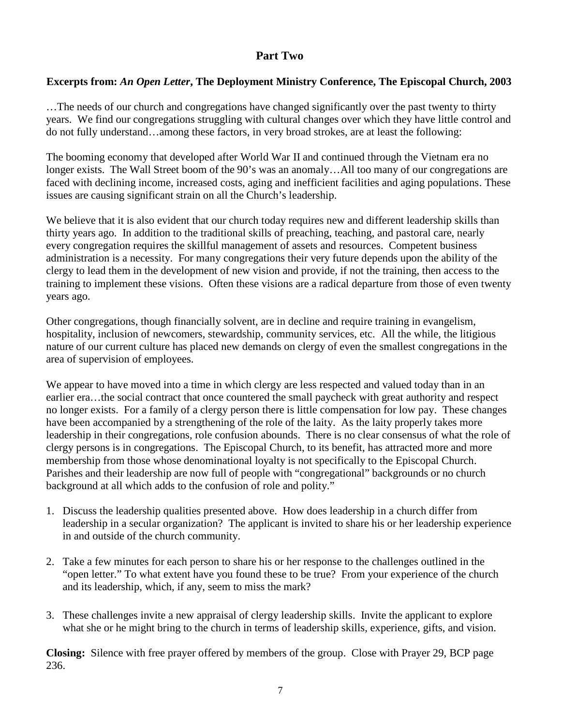## **Part Two**

### **Excerpts from:** *An Open Letter***, The Deployment Ministry Conference, The Episcopal Church, 2003**

…The needs of our church and congregations have changed significantly over the past twenty to thirty years. We find our congregations struggling with cultural changes over which they have little control and do not fully understand…among these factors, in very broad strokes, are at least the following:

The booming economy that developed after World War II and continued through the Vietnam era no longer exists. The Wall Street boom of the 90's was an anomaly…All too many of our congregations are faced with declining income, increased costs, aging and inefficient facilities and aging populations. These issues are causing significant strain on all the Church's leadership.

We believe that it is also evident that our church today requires new and different leadership skills than thirty years ago. In addition to the traditional skills of preaching, teaching, and pastoral care, nearly every congregation requires the skillful management of assets and resources. Competent business administration is a necessity. For many congregations their very future depends upon the ability of the clergy to lead them in the development of new vision and provide, if not the training, then access to the training to implement these visions. Often these visions are a radical departure from those of even twenty years ago.

Other congregations, though financially solvent, are in decline and require training in evangelism, hospitality, inclusion of newcomers, stewardship, community services, etc. All the while, the litigious nature of our current culture has placed new demands on clergy of even the smallest congregations in the area of supervision of employees.

We appear to have moved into a time in which clergy are less respected and valued today than in an earlier era…the social contract that once countered the small paycheck with great authority and respect no longer exists. For a family of a clergy person there is little compensation for low pay. These changes have been accompanied by a strengthening of the role of the laity. As the laity properly takes more leadership in their congregations, role confusion abounds. There is no clear consensus of what the role of clergy persons is in congregations. The Episcopal Church, to its benefit, has attracted more and more membership from those whose denominational loyalty is not specifically to the Episcopal Church. Parishes and their leadership are now full of people with "congregational" backgrounds or no church background at all which adds to the confusion of role and polity."

- 1. Discuss the leadership qualities presented above. How does leadership in a church differ from leadership in a secular organization? The applicant is invited to share his or her leadership experience in and outside of the church community.
- 2. Take a few minutes for each person to share his or her response to the challenges outlined in the "open letter." To what extent have you found these to be true? From your experience of the church and its leadership, which, if any, seem to miss the mark?
- 3. These challenges invite a new appraisal of clergy leadership skills. Invite the applicant to explore what she or he might bring to the church in terms of leadership skills, experience, gifts, and vision.

**Closing:** Silence with free prayer offered by members of the group. Close with Prayer 29, BCP page 236.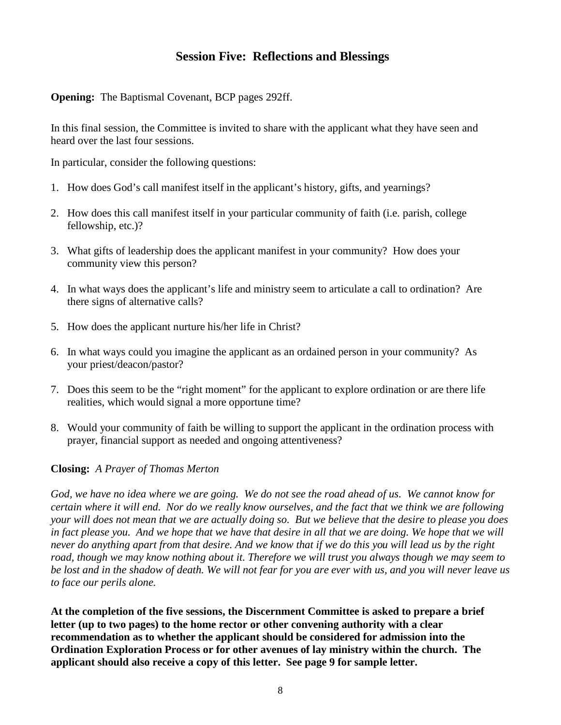## **Session Five: Reflections and Blessings**

**Opening:** The Baptismal Covenant, BCP pages 292ff.

In this final session, the Committee is invited to share with the applicant what they have seen and heard over the last four sessions.

In particular, consider the following questions:

- 1. How does God's call manifest itself in the applicant's history, gifts, and yearnings?
- 2. How does this call manifest itself in your particular community of faith (i.e. parish, college fellowship, etc.)?
- 3. What gifts of leadership does the applicant manifest in your community? How does your community view this person?
- 4. In what ways does the applicant's life and ministry seem to articulate a call to ordination? Are there signs of alternative calls?
- 5. How does the applicant nurture his/her life in Christ?
- 6. In what ways could you imagine the applicant as an ordained person in your community? As your priest/deacon/pastor?
- 7. Does this seem to be the "right moment" for the applicant to explore ordination or are there life realities, which would signal a more opportune time?
- 8. Would your community of faith be willing to support the applicant in the ordination process with prayer, financial support as needed and ongoing attentiveness?

### **Closing:** *A Prayer of Thomas Merton*

*God, we have no idea where we are going. We do not see the road ahead of us. We cannot know for certain where it will end. Nor do we really know ourselves, and the fact that we think we are following your will does not mean that we are actually doing so. But we believe that the desire to please you does in fact please you. And we hope that we have that desire in all that we are doing. We hope that we will never do anything apart from that desire. And we know that if we do this you will lead us by the right road, though we may know nothing about it. Therefore we will trust you always though we may seem to be lost and in the shadow of death. We will not fear for you are ever with us, and you will never leave us to face our perils alone.*

**At the completion of the five sessions, the Discernment Committee is asked to prepare a brief letter (up to two pages) to the home rector or other convening authority with a clear recommendation as to whether the applicant should be considered for admission into the Ordination Exploration Process or for other avenues of lay ministry within the church. The applicant should also receive a copy of this letter. See page 9 for sample letter.**